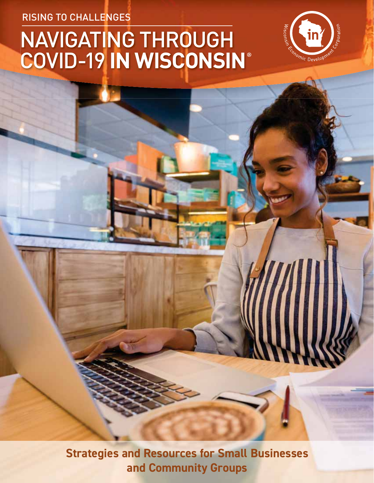RISING TO CHALLENGES

# NAVIGATING THROUGH COVID-19 **IN WISCONSIN**®



**Strategies and Resources for Small Businesses and Community Groups**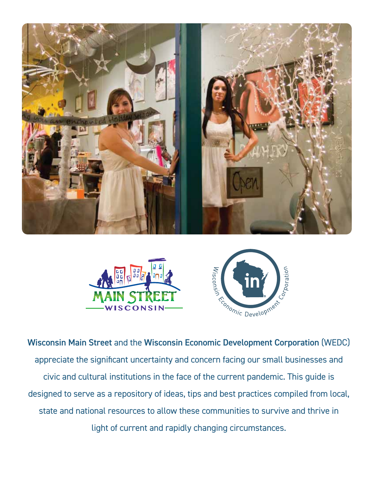





Wisconsin Main Street and the Wisconsin Economic Development Corporation (WEDC) appreciate the significant uncertainty and concern facing our small businesses and civic and cultural institutions in the face of the current pandemic. This guide is designed to serve as a repository of ideas, tips and best practices compiled from local, state and national resources to allow these communities to survive and thrive in light of current and rapidly changing circumstances.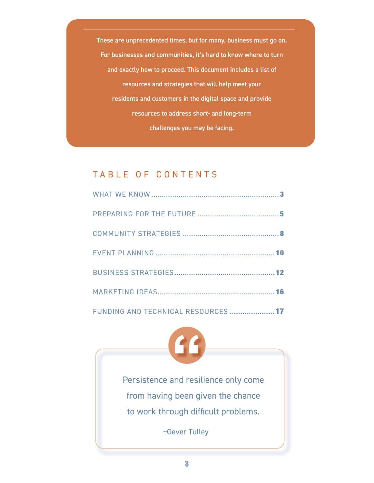### TABLE OF CONTENTS

| These are unprecedented times, but for many, business must go on. |
|-------------------------------------------------------------------|
| For businesses and communities, it's hard to know where to turn   |
| and exactly how to proceed. This document includes a list of      |
| resources and strategies that will help meet your                 |
| residents and customers in the digital space and provide          |
| resources to address short- and long-term                         |
| challenges you may be facing.                                     |
|                                                                   |
|                                                                   |
| TABLE OF CONTENTS                                                 |
|                                                                   |
|                                                                   |
|                                                                   |
|                                                                   |
|                                                                   |
|                                                                   |
| FUNDING AND TECHNICAL RESOURCES<br>$\sim$ 17                      |
| $\mathbf{G}$                                                      |
| Persistence and resilience only come                              |
| from having been given the chance                                 |
| to work through difficult problems.                               |



~Gever Tulley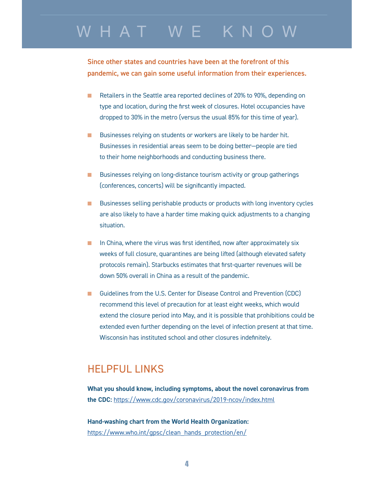### WHAT WE KNOW

Since other states and countries have been at the forefront of this pandemic, we can gain some useful information from their experiences.

- - Retailers in the Seattle area reported declines of 20% to 90%, depending on type and location, during the first week of closures. Hotel occupancies have dropped to 30% in the metro (versus the usual 85% for this time of year).
- **Businesses relying on students or workers are likely to be harder hit.** Businesses in residential areas seem to be doing better—people are tied to their home neighborhoods and conducting business there.
- **Businesses relying on long-distance tourism activity or group gatherings** (conferences, concerts) will be significantly impacted.
- **EXECUTE:** Businesses selling perishable products or products with long inventory cycles are also likely to have a harder time making quick adjustments to a changing situation.
- $\blacksquare$  In China, where the virus was first identified, now after approximately six weeks of full closure, quarantines are being lifted (although elevated safety protocols remain). Starbucks estimates that first-quarter revenues will be down 50% overall in China as a result of the pandemic.
- Guidelines from the U.S. Center for Disease Control and Prevention (CDC) recommend this level of precaution for at least eight weeks, which would extend the closure period into May, and it is possible that prohibitions could be extended even further depending on the level of infection present at that time. Wisconsin has instituted school and other closures indefinitely.

### HELPFUL LINKS

**What you should know, including symptoms, about the novel coronavirus from the CDC:** https://www.cdc.gov/coronavirus/2019-ncov/index.html

**Hand-washing chart from the World Health Organization:**  https://www.who.int/gpsc/clean\_hands\_protection/en/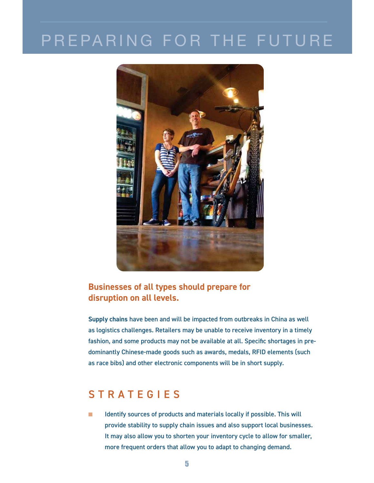## PREPARING FOR THE FUTURE



### **Businesses of all types should prepare for disruption on all levels.**

**Supply chains** have been and will be impacted from outbreaks in China as well as logistics challenges. Retailers may be unable to receive inventory in a timely fashion, and some products may not be available at all. Specific shortages in predominantly Chinese-made goods such as awards, medals, RFID elements (such as race bibs) and other electronic components will be in short supply.

### **STRATEGIES**

- Identify sources of products and materials locally if possible. This will provide stability to supply chain issues and also support local businesses. It may also allow you to shorten your inventory cycle to allow for smaller, more frequent orders that allow you to adapt to changing demand.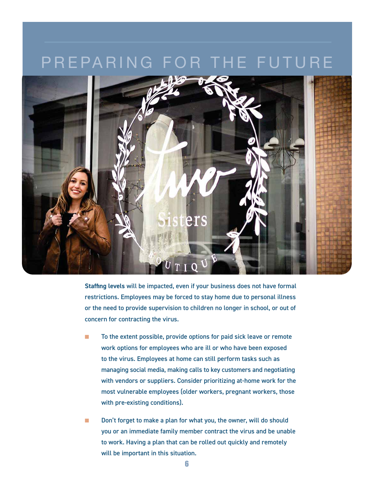### PREPARING FOR THE FUTURE



**Staffing levels** will be impacted, even if your business does not have formal restrictions. Employees may be forced to stay home due to personal illness or the need to provide supervision to children no longer in school, or out of concern for contracting the virus.

- - To the extent possible, provide options for paid sick leave or remote work options for employees who are ill or who have been exposed to the virus. Employees at home can still perform tasks such as managing social media, making calls to key customers and negotiating with vendors or suppliers. Consider prioritizing at-home work for the most vulnerable employees (older workers, pregnant workers, those with pre-existing conditions).
- - Don't forget to make a plan for what you, the owner, will do should you or an immediate family member contract the virus and be unable to work. Having a plan that can be rolled out quickly and remotely will be important in this situation.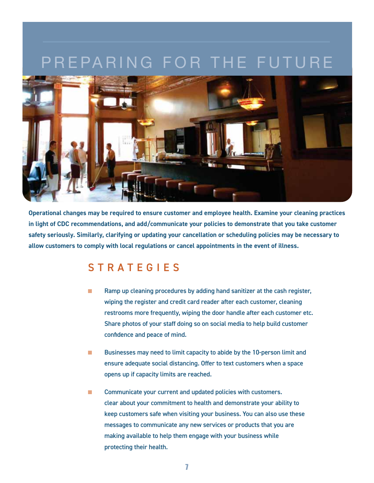### EPARING FOR THE FUT



**Operational changes may be required to ensure customer and employee health. Examine your cleaning practices in light of CDC recommendations, and add/communicate your policies to demonstrate that you take customer safety seriously. Similarly, clarifying or updating your cancellation or scheduling policies may be necessary to allow customers to comply with local regulations or cancel appointments in the event of illness.** 

### S T R A T E G I E S

- - Ramp up cleaning procedures by adding hand sanitizer at the cash register, wiping the register and credit card reader after each customer, cleaning restrooms more frequently, wiping the door handle after each customer etc. Share photos of your staff doing so on social media to help build customer confidence and peace of mind.
- - Businesses may need to limit capacity to abide by the 10-person limit and ensure adequate social distancing. Offer to text customers when a space opens up if capacity limits are reached.
- - Communicate your current and updated policies with customers. clear about your commitment to health and demonstrate your ability to keep customers safe when visiting your business. You can also use these messages to communicate any new services or products that you are making available to help them engage with your business while protecting their health.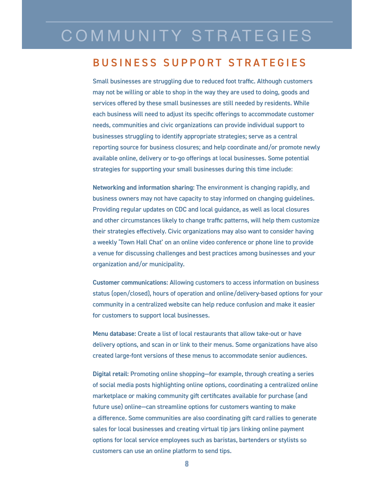# COMMUNITY STRATEGIES

### **BUSINESS SUPPORT STRATEGIES**

Small businesses are struggling due to reduced foot traffic. Although customers may not be willing or able to shop in the way they are used to doing, goods and services offered by these small businesses are still needed by residents. While each business will need to adjust its specific offerings to accommodate customer needs, communities and civic organizations can provide individual support to businesses struggling to identify appropriate strategies; serve as a central reporting source for business closures; and help coordinate and/or promote newly available online, delivery or to-go offerings at local businesses. Some potential strategies for supporting your small businesses during this time include:

**Networking and information sharing:** The environment is changing rapidly, and business owners may not have capacity to stay informed on changing guidelines. Providing regular updates on CDC and local guidance, as well as local closures and other circumstances likely to change traffic patterns, will help them customize their strategies effectively. Civic organizations may also want to consider having a weekly 'Town Hall Chat' on an online video conference or phone line to provide a venue for discussing challenges and best practices among businesses and your organization and/or municipality.

**Customer communications:** Allowing customers to access information on business status (open/closed), hours of operation and online/delivery-based options for your community in a centralized website can help reduce confusion and make it easier for customers to support local businesses.

**Menu database:** Create a list of local restaurants that allow take-out or have delivery options, and scan in or link to their menus. Some organizations have also created large-font versions of these menus to accommodate senior audiences.

**Digital retail:** Promoting online shopping—for example, through creating a series of social media posts highlighting online options, coordinating a centralized online marketplace or making community gift certificates available for purchase (and future use) online—can streamline options for customers wanting to make a difference. Some communities are also coordinating gift card rallies to generate sales for local businesses and creating virtual tip jars linking online payment options for local service employees such as baristas, bartenders or stylists so customers can use an online platform to send tips.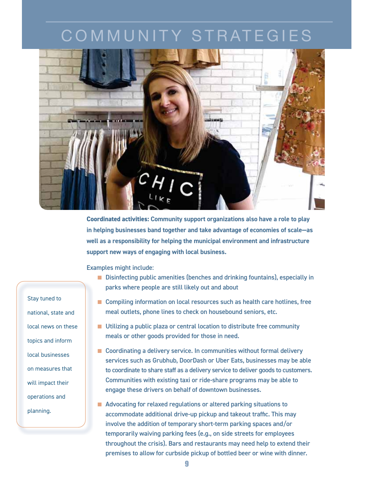# COMMUNITY STRATEGIES



**Coordinated activities: Community support organizations also have a role to play in helping businesses band together and take advantage of economies of scale—as well as a responsibility for helping the municipal environment and infrastructure support new ways of engaging with local business.**

Examples might include:

- **Disinfecting public amenities (benches and drinking fountains), especially in** parks where people are still likely out and about
- Compiling information on local resources such as health care hotlines, free meal outlets, phone lines to check on housebound seniors, etc.
- **Utilizing a public plaza or central location to distribute free community** meals or other goods provided for those in need.
- Coordinating a delivery service. In communities without formal delivery services such as Grubhub, DoorDash or Uber Eats, businesses may be able to coordinate to share staff as a delivery service to deliver goods to customers. Communities with existing taxi or ride-share programs may be able to engage these drivers on behalf of downtown businesses.
- **E** Advocating for relaxed regulations or altered parking situations to accommodate additional drive-up pickup and takeout traffic. This may involve the addition of temporary short-term parking spaces and/or temporarily waiving parking fees (e.g., on side streets for employees throughout the crisis). Bars and restaurants may need help to extend their premises to allow for curbside pickup of bottled beer or wine with dinner.

Stay tuned to national, state and state and local news on these topics and inform inform local businesses on measures that will impact their operations and planning.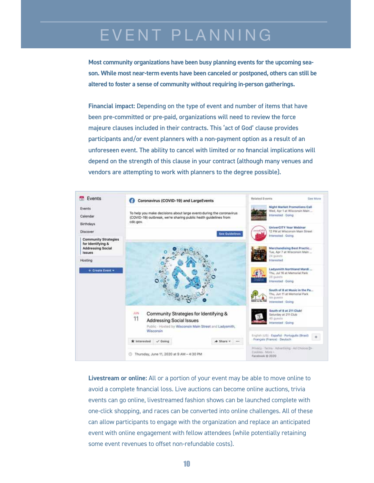## EVENT PLANNING

**Most community organizations have been busy planning events for the upcoming season. While most near-term events have been canceled or postponed, others can still be altered to foster a sense of community without requiring in-person gatherings.** 

**Financial impact:** Depending on the type of event and number of items that have been pre-committed or pre-paid, organizations will need to review the force majeure clauses included in their contracts. This 'act of God' clause provides participants and/or event planners with a non-payment option as a result of an unforeseen event. The ability to cancel with limited or no financial implications will depend on the strength of this clause in your contract (although many venues and vendors are attempting to work with planners to the degree possible).



**Livestream or online:** All or a portion of your event may be able to move online to avoid a complete financial loss. Live auctions can become online auctions, trivia events can go online, livestreamed fashion shows can be launched complete with one-click shopping, and races can be converted into online challenges. All of these can allow participants to engage with the organization and replace an anticipated event with online engagement with fellow attendees (while potentially retaining some event revenues to offset non-refundable costs).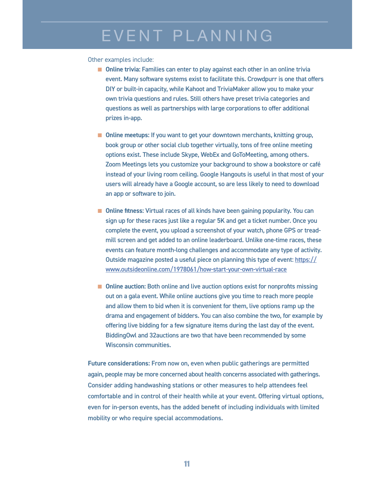## EVENT PLANNING

#### Other examples include:

- **n** Online trivia: Families can enter to play against each other in an online trivia event. Many software systems exist to facilitate this. Crowdpurr is one that offers DIY or built-in capacity, while Kahoot and TriviaMaker allow you to make your own trivia questions and rules. Still others have preset trivia categories and questions as well as partnerships with large corporations to offer additional prizes in-app.
- **n** Online meetups: If you want to get your downtown merchants, knitting group, book group or other social club together virtually, tons of free online meeting options exist. These include Skype, WebEx and GoToMeeting, among others. Zoom Meetings lets you customize your background to show a bookstore or café instead of your living room ceiling. Google Hangouts is useful in that most of your users will already have a Google account, so are less likely to need to download an app or software to join.
- **n** Online fitness: Virtual races of all kinds have been gaining popularity. You can sign up for these races just like a regular 5K and get a ticket number. Once you complete the event, you upload a screenshot of your watch, phone GPS or treadmill screen and get added to an online leaderboard. Unlike one-time races, these events can feature month-long challenges and accommodate any type of activity. Outside magazine posted a useful piece on planning this type of event: https:// www.outsideonline.com/1978061/how-start-your-own-virtual-race
- **n** Online auction: Both online and live auction options exist for nonprofits missing out on a gala event. While online auctions give you time to reach more people and allow them to bid when it is convenient for them, live options ramp up the drama and engagement of bidders. You can also combine the two, for example by offering live bidding for a few signature items during the last day of the event. BiddingOwl and 32auctions are two that have been recommended by some Wisconsin communities.

**Future considerations:** From now on, even when public gatherings are permitted again, people may be more concerned about health concerns associated with gatherings. Consider adding handwashing stations or other measures to help attendees feel comfortable and in control of their health while at your event. Offering virtual options, even for in-person events, has the added benefit of including individuals with limited mobility or who require special accommodations.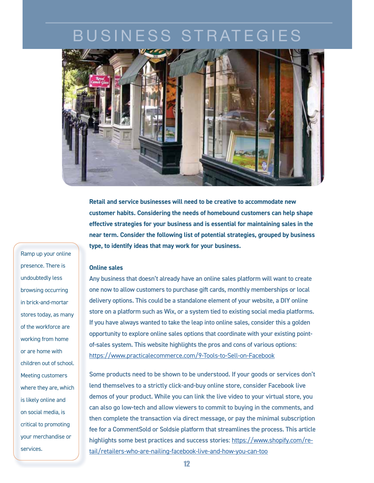

**Retail and service businesses will need to be creative to accommodate new customer habits. Considering the needs of homebound customers can help shape effective strategies for your business and is essential for maintaining sales in the near term. Consider the following list of potential strategies, grouped by business type, to identify ideas that may work for your business.** 

#### **Online sales**

Any business that doesn't already have an online sales platform will want to create one now to allow customers to purchase gift cards, monthly memberships or local delivery options. This could be a standalone element of your website, a DIY online store on a platform such as Wix, or a system tied to existing social media platforms. If you have always wanted to take the leap into online sales, consider this a golden opportunity to explore online sales options that coordinate with your existing pointof-sales system. This website highlights the pros and cons of various options: https://www.practicalecommerce.com/9-Tools-to-Sell-on-Facebook

Some products need to be shown to be understood. If your goods or services don't lend themselves to a strictly click-and-buy online store, consider Facebook live demos of your product. While you can link the live video to your virtual store, you can also go low-tech and allow viewers to commit to buying in the comments, and then complete the transaction via direct message, or pay the minimal subscription fee for a CommentSold or Soldsie platform that streamlines the process. This article highlights some best practices and success stories: https://www.shopify.com/retail/retailers-who-are-nailing-facebook-live-and-how-you-can-too

Ramp up your online presence. There is undoubtedly less less browsing occurring in brick-and-mortar brick-and-mortar stores today, as many many of the workforce are workforce are working from home home or are home with children out of school. Meeting customers customers where they are, which which is likely online and on social media, is is critical to promoting promoting your merchandise or services.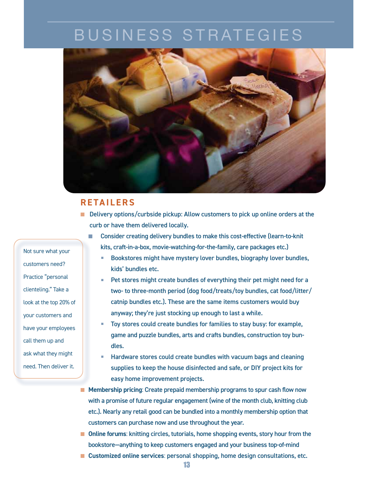

### **RETAILERS**

- **Delivery options/curbside pickup: Allow customers to pick up online orders at the** curb or have them delivered locally.
	- - Consider creating delivery bundles to make this cost-effective (learn-to-knit kits, craft-in-a-box, movie-watching-for-the-family, care packages etc.)
		- - Bookstores might have mystery lover bundles, biography lover bundles, kids' bundles etc.
		- - Pet stores might create bundles of everything their pet might need for a two- to three-month period (dog food/treats/toy bundles, cat food/litter/ catnip bundles etc.). These are the same items customers would buy anyway; they're just stocking up enough to last a while.
		- - Toy stores could create bundles for families to stay busy: for example, game and puzzle bundles, arts and crafts bundles, construction toy bundles.
		- - Hardware stores could create bundles with vacuum bags and cleaning supplies to keep the house disinfected and safe, or DIY project kits for easy home improvement projects.
- **E** Membership pricing: Create prepaid membership programs to spur cash flow now with a promise of future regular engagement (wine of the month club, knitting club etc.). Nearly any retail good can be bundled into a monthly membership option that customers can purchase now and use throughout the year.
- **n** Online forums: knitting circles, tutorials, home shopping events, story hour from the bookstore—anything to keep customers engaged and your business top-of-mind
- **E** Customized online services: personal shopping, home design consultations, etc.

Not sure what your customers need? Practice "personal clienteling." Take a look at the top 20% of your customers and have your employees employees call them up and ask what they might might need. Then deliver it.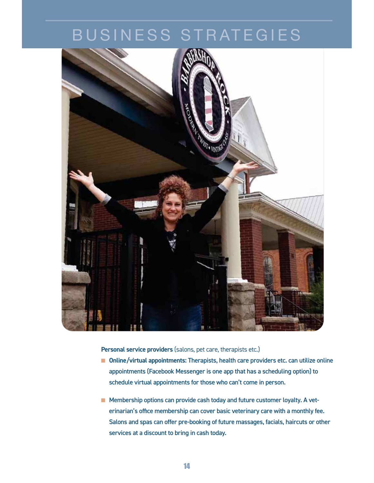

**Personal service providers** (salons, pet care, therapists etc.)

- Online/virtual appointments: Therapists, health care providers etc. can utilize online appointments (Facebook Messenger is one app that has a scheduling option) to schedule virtual appointments for those who can't come in person.
- **E** Membership options can provide cash today and future customer loyalty. A veterinarian's office membership can cover basic veterinary care with a monthly fee. Salons and spas can offer pre-booking of future massages, facials, haircuts or other services at a discount to bring in cash today.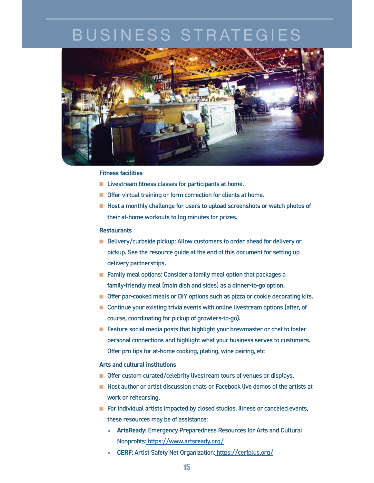

#### **Fitness facilities**

- **E** Livestream fitness classes for participants at home.
- **Offer virtual training or form correction for clients at home.**
- **E** Host a monthly challenge for users to upload screenshots or watch photos of their at-home workouts to log minutes for prizes.

#### **Restaurants**

- **Delivery/curbside pickup: Allow customers to order ahead for delivery or** pickup. See the resource guide at the end of this document for setting up delivery partnerships.
- **Example 2 Family meal options: Consider a family meal option that packages a** family-friendly meal (main dish and sides) as a dinner-to-go option.
- **D** Offer par-cooked meals or DIY options such as pizza or cookie decorating kits.
- Continue your existing trivia events with online livestream options (after, of course, coordinating for pickup of growlers-to-go).
- **E** Feature social media posts that highlight your brewmaster or chef to foster personal connections and highlight what your business serves to customers. Offer pro tips for at-home cooking, plating, wine pairing, etc

#### **Arts and cultural institutions**

- **n** Offer custom curated/celebrity livestream tours of venues or displays.
- **E** Host author or artist discussion chats or Facebook live demos of the artists at work or rehearsing.
- **EXT** For individual artists impacted by closed studios, illness or canceled events, these resources may be of assistance:
	- **ArtsReady:** Emergency Preparedness Resources for Arts and Cultural Nonprofits: https://www.artsready.org/
	- **CERF:** Artist Safety Net Organization: https://cerfplus.org/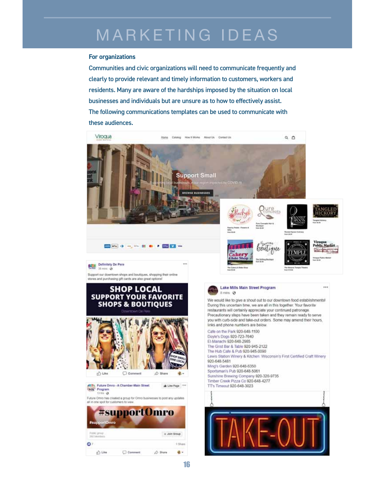# MARKETING IDEAS

#### **For organizations**

Communities and civic organizations will need to communicate frequently and clearly to provide relevant and timely information to customers, workers and residents. Many are aware of the hardships imposed by the situation on local businesses and individuals but are unsure as to how to effectively assist. The following communications templates can be used to communicate with these audiences.

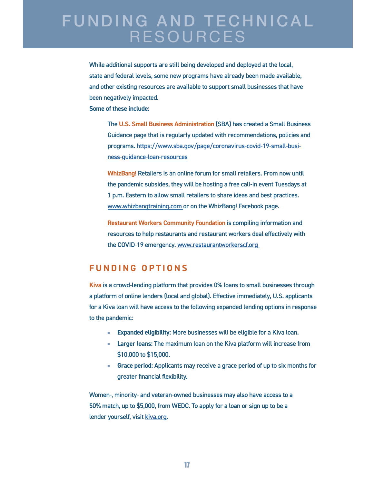### **FUNDING AND TECHNICAL** RESOURCES

While additional supports are still being developed and deployed at the local, state and federal levels, some new programs have already been made available, and other existing resources are available to support small businesses that have been negatively impacted.

 **Some of these include:** 

The **U.S. Small Business Administration** (SBA) has created a Small Business Guidance page that is regularly updated with recommendations, policies and programs. https://www.sba.gov/page/coronavirus-covid-19-small-business-guidance-loan-resources

**WhizBang!** Retailers is an online forum for small retailers. From now until the pandemic subsides, they will be hosting a free call-in event Tuesdays at 1 p.m. Eastern to allow small retailers to share ideas and best practices. www.whizbangtraining.com or on the WhizBang! Facebook page.

**Restaurant Workers Community Foundation** is compiling information and resources to help restaurants and restaurant workers deal effectively with the COVID-19 emergency. www.restaurantworkerscf.org

### **FUNDING OPTIONS**

**Kiva** is a crowd-lending platform that provides 0% loans to small businesses through a platform of online lenders (local and global). Effective immediately, U.S. applicants for a Kiva loan will have access to the following expanded lending options in response to the pandemic:

- -**Expanded eligibility:** More businesses will be eligible for a Kiva loan.
- **Larger loans:** The maximum loan on the Kiva platform will increase from \$10,000 to \$15,000.
- **Grace period:** Applicants may receive a grace period of up to six months for greater financial flexibility.

Women-, minority- and veteran-owned businesses may also have access to a 50% match, up to \$5,000, from WEDC. To apply for a loan or sign up to be a lender yourself, visit kiva.org.